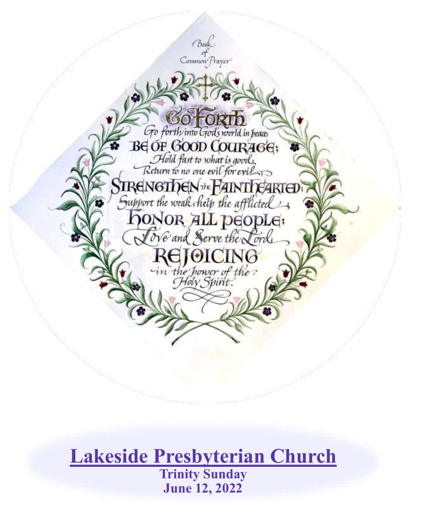

# **Lakeside Presbyterian Church Trinity Sunday June 12, 2022**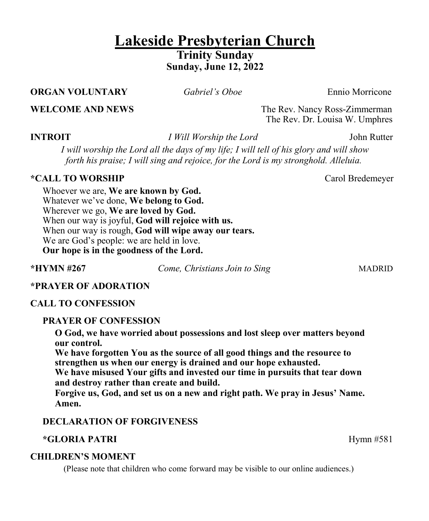# **Lakeside Presbyterian Church Trinity Sunday Sunday, June 12, 2022**

### **ORGAN VOLUNTARY** *Gabriel's Oboe* Ennio Morricone

**WELCOME AND NEWS** The Rev. Nancy Ross-Zimmerman The Rev. Dr. Louisa W. Umphres

**INTROIT** *I Will Worship the Lord* John Rutter

*I will worship the Lord all the days of my life; I will tell of his glory and will show forth his praise; I will sing and rejoice, for the Lord is my stronghold. Alleluia.*

### **\*CALL TO WORSHIP CALL TO WORSHIP**

Whoever we are, **We are known by God.**  Whatever we've done, **We belong to God.**  Wherever we go, **We are loved by God.** When our way is joyful, **God will rejoice with us.** When our way is rough, **God will wipe away our tears.** We are God's people: we are held in love. **Our hope is in the goodness of the Lord.**

**\*HYMN #267** *Come, Christians Join to Sing* MADRID

# **\*PRAYER OF ADORATION**

# **CALL TO CONFESSION**

# **PRAYER OF CONFESSION**

**O God, we have worried about possessions and lost sleep over matters beyond our control.** 

**We have forgotten You as the source of all good things and the resource to strengthen us when our energy is drained and our hope exhausted.** 

**We have misused Your gifts and invested our time in pursuits that tear down and destroy rather than create and build.** 

**Forgive us, God, and set us on a new and right path. We pray in Jesus' Name. Amen.**

# **DECLARATION OF FORGIVENESS**

# **\*GLORIA PATRI** Hymn #581

# **CHILDREN'S MOMENT**

(Please note that children who come forward may be visible to our online audiences.)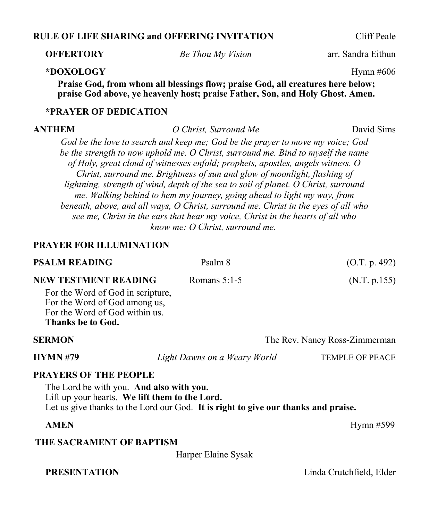### **RULE OF LIFE SHARING and OFFERING INVITATION** Cliff Peale

**OFFERTORY** *Be Thou My Vision* arr. Sandra Eithun

### **\*DOXOLOGY** Hymn #606

**Praise God, from whom all blessings flow; praise God, all creatures here below; praise God above, ye heavenly host; praise Father, Son, and Holy Ghost. Amen.**

### **\*PRAYER OF DEDICATION**

**ANTHEM** *O Christ, Surround Me* David Sims

*God be the love to search and keep me; God be the prayer to move my voice; God be the strength to now uphold me. O Christ, surround me. Bind to myself the name of Holy, great cloud of witnesses enfold; prophets, apostles, angels witness. O Christ, surround me. Brightness of sun and glow of moonlight, flashing of lightning, strength of wind, depth of the sea to soil of planet. O Christ, surround me. Walking behind to hem my journey, going ahead to light my way, from beneath, above, and all ways, O Christ, surround me. Christ in the eyes of all who see me, Christ in the ears that hear my voice, Christ in the hearts of all who know me: O Christ, surround me.*

### **PRAYER FOR ILLUMINATION**

| <b>PSALM READING</b>                                                                                                      | Psalm 8                                                                            | (O.T. p. 492)                 |
|---------------------------------------------------------------------------------------------------------------------------|------------------------------------------------------------------------------------|-------------------------------|
| <b>NEW TESTMENT READING</b>                                                                                               | Romans $5:1-5$                                                                     | (N.T. p.155)                  |
| For the Word of God in scripture,<br>For the Word of God among us,<br>For the Word of God within us.<br>Thanks be to God. |                                                                                    |                               |
| <b>SERMON</b>                                                                                                             |                                                                                    | The Rev. Nancy Ross-Zimmerman |
| <b>HYMN#79</b>                                                                                                            | Light Dawns on a Weary World                                                       | <b>TEMPLE OF PEACE</b>        |
| <b>PRAYERS OF THE PEOPLE</b>                                                                                              |                                                                                    |                               |
| The Lord be with you. And also with you.<br>Lift up your hearts. We lift them to the Lord.                                | Let us give thanks to the Lord our God. It is right to give our thanks and praise. |                               |
| <b>AMEN</b>                                                                                                               |                                                                                    | Hymn $#599$                   |
| THE SACRAMENT OF BAPTISM                                                                                                  |                                                                                    |                               |

Harper Elaine Sysak

**PRESENTATION** Linda Crutchfield, Elder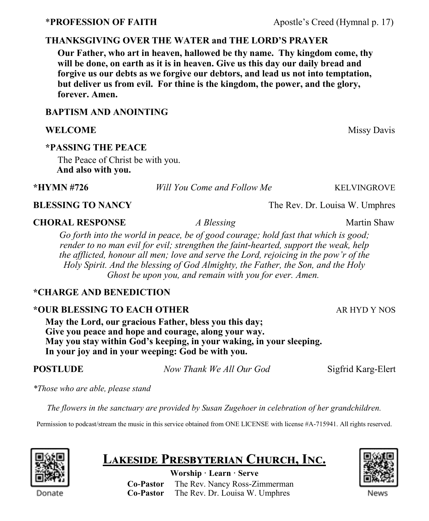# **THANKSGIVING OVER THE WATER and THE LORD'S PRAYER**

**Our Father, who art in heaven, hallowed be thy name. Thy kingdom come, thy will be done, on earth as it is in heaven. Give us this day our daily bread and forgive us our debts as we forgive our debtors, and lead us not into temptation, but deliver us from evil. For thine is the kingdom, the power, and the glory, forever. Amen.**

# **BAPTISM AND ANOINTING**

# **WELCOME** Missy Davis

# **\*PASSING THE PEACE**

The Peace of Christ be with you.  **And also with you.**

**\*HYMN #726** *Will You Come and Follow Me*KELVINGROVE

# **BLESSING TO NANCY** The Rev. Dr. Louisa W. Umphres

# **CHORAL RESPONSE** *A Blessing* Martin Shaw

*Go forth into the world in peace, be of good courage; hold fast that which is good; render to no man evil for evil; strengthen the faint-hearted, support the weak, help the afflicted, honour all men; love and serve the Lord, rejoicing in the pow'r of the Holy Spirit. And the blessing of God Almighty, the Father, the Son, and the Holy Ghost be upon you, and remain with you for ever. Amen.*

# **\*CHARGE AND BENEDICTION**

# **\*OUR BLESSING TO EACH OTHER AR HYD Y NOS**

**May the Lord, our gracious Father, bless you this day; Give you peace and hope and courage, along your way. May you stay within God's keeping, in your waking, in your sleeping. In your joy and in your weeping: God be with you.**

**POSTLUDE** *Now Thank We All Our God* Sigfrid Karg-Elert

*\*Those who are able, please stand*

*The flowers in the sanctuary are provided by Susan Zugehoer in celebration of her grandchildren.*

Permission to podcast/stream the music in this service obtained from ONE LICENSE with license #A-715941. All rights reserved.



# **Lakeside Presbyterian Church, Inc.**

**Worship · Learn · Serve Co-Pastor** The Rev. Nancy Ross-Zimmerman  **Co-Pastor** The Rev. Dr. Louisa W. Umphres



\***PROFESSION OF FAITH** Apostle's Creed (Hymnal p. 17)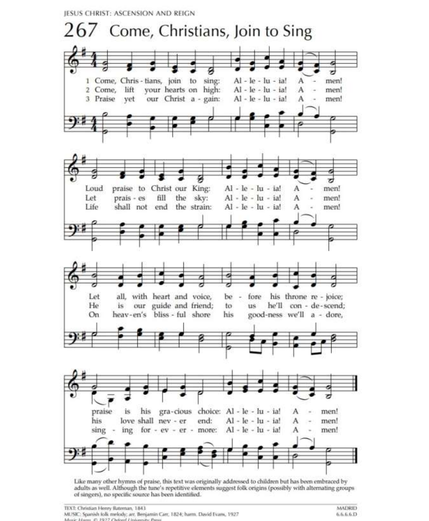JESUS CHRIST: ASCENSION AND REIGN



of singers), no specific source has been identified.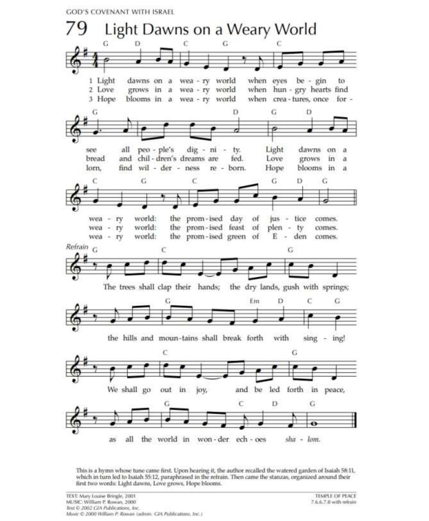**GOD'S COVENANT WITH ISRAEL** 



This is a hymn whose tune came first. Upon hearing it, the author recalled the watered garden of Isaiah 58:11, which in turn led to Isaiah 55:12, paraphrased in the refrain. Then came the stanzas, organized around their first two words: Light dawns, Love grows, Hope blooms.